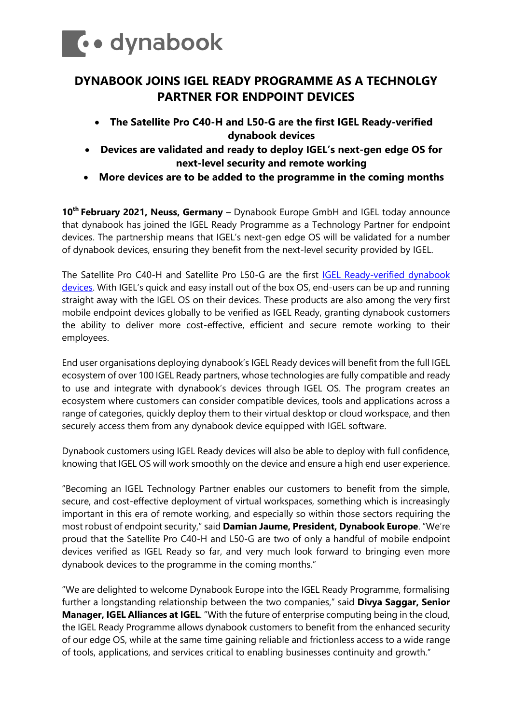

# **DYNABOOK JOINS IGEL READY PROGRAMME AS A TECHNOLGY PARTNER FOR ENDPOINT DEVICES**

- **The Satellite Pro C40-H and L50-G are the first IGEL Ready-verified dynabook devices**
- **Devices are validated and ready to deploy IGEL's next-gen edge OS for next-level security and remote working**
- **More devices are to be added to the programme in the coming months**

**10th February 2021, Neuss, Germany** – Dynabook Europe GmbH and IGEL today announce that dynabook has joined the IGEL Ready Programme as a Technology Partner for endpoint devices. The partnership means that IGEL's next-gen edge OS will be validated for a number of dynabook devices, ensuring they benefit from the next-level security provided by IGEL.

The Satellite Pro C40-H and Satellite Pro L50-G are the first [IGEL Ready-verified dynabook](https://www.igel.com/ready/showcase-partners/dynabook-europe/)  [devices.](https://www.igel.com/ready/showcase-partners/dynabook-europe/) With IGEL's quick and easy install out of the box OS, end-users can be up and running straight away with the IGEL OS on their devices. These products are also among the very first mobile endpoint devices globally to be verified as IGEL Ready, granting dynabook customers the ability to deliver more cost-effective, efficient and secure remote working to their employees.

End user organisations deploying dynabook's IGEL Ready devices will benefit from the full IGEL ecosystem of over 100 IGEL Ready partners, whose technologies are fully compatible and ready to use and integrate with dynabook's devices through IGEL OS. The program creates an ecosystem where customers can consider compatible devices, tools and applications across a range of categories, quickly deploy them to their virtual desktop or cloud workspace, and then securely access them from any dynabook device equipped with IGEL software.

Dynabook customers using IGEL Ready devices will also be able to deploy with full confidence, knowing that IGEL OS will work smoothly on the device and ensure a high end user experience.

"Becoming an IGEL Technology Partner enables our customers to benefit from the simple, secure, and cost-effective deployment of virtual workspaces, something which is increasingly important in this era of remote working, and especially so within those sectors requiring the most robust of endpoint security," said **Damian Jaume, President, Dynabook Europe**. "We're proud that the Satellite Pro C40-H and L50-G are two of only a handful of mobile endpoint devices verified as IGEL Ready so far, and very much look forward to bringing even more dynabook devices to the programme in the coming months."

"We are delighted to welcome Dynabook Europe into the IGEL Ready Programme, formalising further a longstanding relationship between the two companies," said **Divya Saggar, Senior Manager, IGEL Alliances at IGEL**. "With the future of enterprise computing being in the cloud, the IGEL Ready Programme allows dynabook customers to benefit from the enhanced security of our edge OS, while at the same time gaining reliable and frictionless access to a wide range of tools, applications, and services critical to enabling businesses continuity and growth."